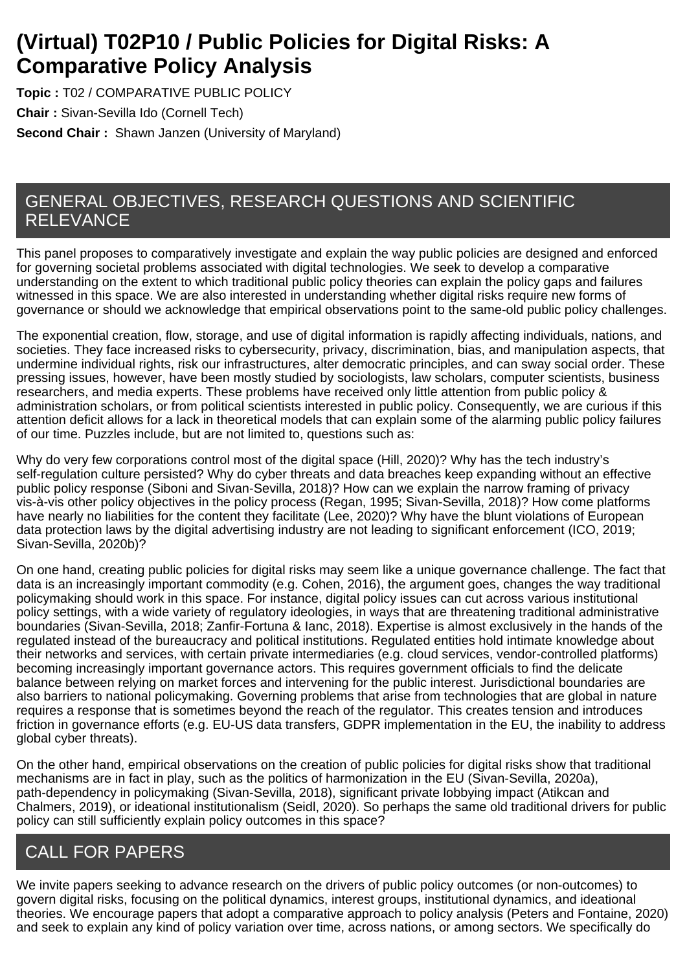# **(Virtual) T02P10 / Public Policies for Digital Risks: A Comparative Policy Analysis**

**Topic :** T02 / COMPARATIVE PUBLIC POLICY **Chair :** Sivan-Sevilla Ido (Cornell Tech) **Second Chair :** Shawn Janzen (University of Maryland)

## GENERAL OBJECTIVES, RESEARCH QUESTIONS AND SCIENTIFIC RELEVANCE

This panel proposes to comparatively investigate and explain the way public policies are designed and enforced for governing societal problems associated with digital technologies. We seek to develop a comparative understanding on the extent to which traditional public policy theories can explain the policy gaps and failures witnessed in this space. We are also interested in understanding whether digital risks require new forms of governance or should we acknowledge that empirical observations point to the same-old public policy challenges.

The exponential creation, flow, storage, and use of digital information is rapidly affecting individuals, nations, and societies. They face increased risks to cybersecurity, privacy, discrimination, bias, and manipulation aspects, that undermine individual rights, risk our infrastructures, alter democratic principles, and can sway social order. These pressing issues, however, have been mostly studied by sociologists, law scholars, computer scientists, business researchers, and media experts. These problems have received only little attention from public policy & administration scholars, or from political scientists interested in public policy. Consequently, we are curious if this attention deficit allows for a lack in theoretical models that can explain some of the alarming public policy failures of our time. Puzzles include, but are not limited to, questions such as:

Why do very few corporations control most of the digital space (Hill, 2020)? Why has the tech industry's self-regulation culture persisted? Why do cyber threats and data breaches keep expanding without an effective public policy response (Siboni and Sivan-Sevilla, 2018)? How can we explain the narrow framing of privacy vis-à-vis other policy objectives in the policy process (Regan, 1995; Sivan-Sevilla, 2018)? How come platforms have nearly no liabilities for the content they facilitate (Lee, 2020)? Why have the blunt violations of European data protection laws by the digital advertising industry are not leading to significant enforcement (ICO, 2019; Sivan-Sevilla, 2020b)?

On one hand, creating public policies for digital risks may seem like a unique governance challenge. The fact that data is an increasingly important commodity (e.g. Cohen, 2016), the argument goes, changes the way traditional policymaking should work in this space. For instance, digital policy issues can cut across various institutional policy settings, with a wide variety of regulatory ideologies, in ways that are threatening traditional administrative boundaries (Sivan-Sevilla, 2018; Zanfir-Fortuna & Ianc, 2018). Expertise is almost exclusively in the hands of the regulated instead of the bureaucracy and political institutions. Regulated entities hold intimate knowledge about their networks and services, with certain private intermediaries (e.g. cloud services, vendor-controlled platforms) becoming increasingly important governance actors. This requires government officials to find the delicate balance between relying on market forces and intervening for the public interest. Jurisdictional boundaries are also barriers to national policymaking. Governing problems that arise from technologies that are global in nature requires a response that is sometimes beyond the reach of the regulator. This creates tension and introduces friction in governance efforts (e.g. EU-US data transfers, GDPR implementation in the EU, the inability to address global cyber threats).

On the other hand, empirical observations on the creation of public policies for digital risks show that traditional mechanisms are in fact in play, such as the politics of harmonization in the EU (Sivan-Sevilla, 2020a), path-dependency in policymaking (Sivan-Sevilla, 2018), significant private lobbying impact (Atikcan and Chalmers, 2019), or ideational institutionalism (Seidl, 2020). So perhaps the same old traditional drivers for public policy can still sufficiently explain policy outcomes in this space?

## CALL FOR PAPERS

We invite papers seeking to advance research on the drivers of public policy outcomes (or non-outcomes) to govern digital risks, focusing on the political dynamics, interest groups, institutional dynamics, and ideational theories. We encourage papers that adopt a comparative approach to policy analysis (Peters and Fontaine, 2020) and seek to explain any kind of policy variation over time, across nations, or among sectors. We specifically do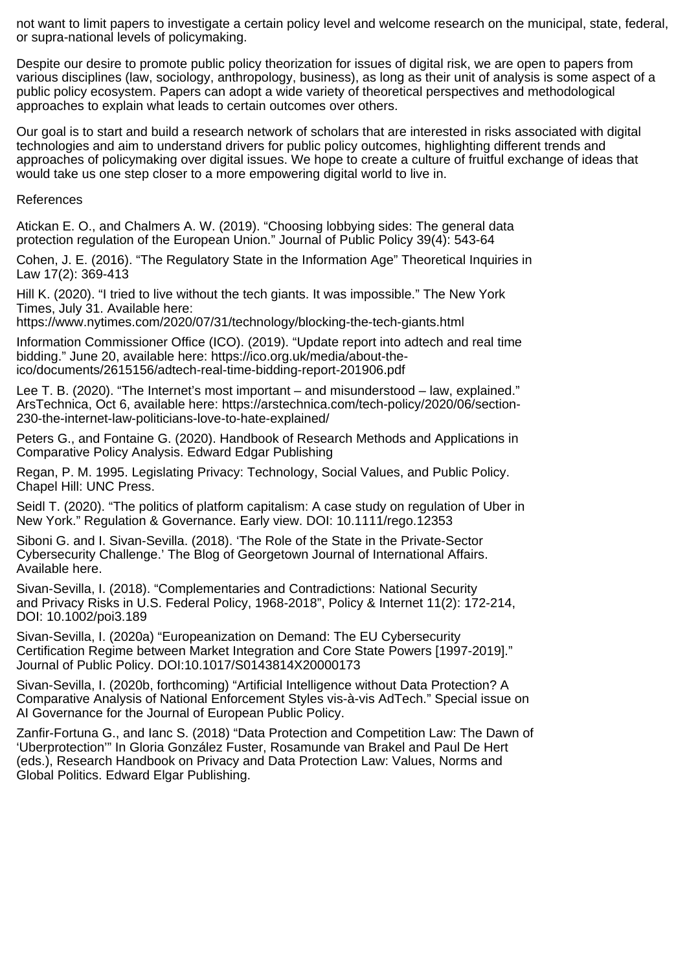not want to limit papers to investigate a certain policy level and welcome research on the municipal, state, federal, or supra-national levels of policymaking.

Despite our desire to promote public policy theorization for issues of digital risk, we are open to papers from various disciplines (law, sociology, anthropology, business), as long as their unit of analysis is some aspect of a public policy ecosystem. Papers can adopt a wide variety of theoretical perspectives and methodological approaches to explain what leads to certain outcomes over others.

Our goal is to start and build a research network of scholars that are interested in risks associated with digital technologies and aim to understand drivers for public policy outcomes, highlighting different trends and approaches of policymaking over digital issues. We hope to create a culture of fruitful exchange of ideas that would take us one step closer to a more empowering digital world to live in.

References

Atickan E. O., and Chalmers A. W. (2019). "Choosing lobbying sides: The general data protection regulation of the European Union." Journal of Public Policy 39(4): 543-64

Cohen, J. E. (2016). "The Regulatory State in the Information Age" Theoretical Inquiries in Law  $17(2)$ :  $369-413$ 

Hill K. (2020). "I tried to live without the tech giants. It was impossible." The New York Times, July 31. Available here:

https://www.nytimes.com/2020/07/31/technology/blocking-the-tech-giants.html

Information Commissioner Office (ICO). (2019). "Update report into adtech and real time bidding." June 20, available here: https://ico.org.uk/media/about-theico/documents/2615156/adtech-real-time-bidding-report-201906.pdf

Lee T. B. (2020). "The Internet's most important – and misunderstood – law, explained." ArsTechnica, Oct 6, available here: https://arstechnica.com/tech-policy/2020/06/section-230-the-internet-law-politicians-love-to-hate-explained/

Peters G., and Fontaine G. (2020). Handbook of Research Methods and Applications in Comparative Policy Analysis. Edward Edgar Publishing

Regan, P. M. 1995. Legislating Privacy: Technology, Social Values, and Public Policy. Chapel Hill: UNC Press.

Seidl T. (2020). "The politics of platform capitalism: A case study on regulation of Uber in New York." Regulation & Governance. Early view. DOI: 10.1111/rego.12353

Siboni G. and I. Sivan-Sevilla. (2018). 'The Role of the State in the Private-Sector Cybersecurity Challenge.' The Blog of Georgetown Journal of International Affairs. Available here.

Sivan-Sevilla, I. (2018). "Complementaries and Contradictions: National Security and Privacy Risks in U.S. Federal Policy, 1968-2018", Policy & Internet 11(2): 172-214, DOI: 10.1002/poi3.189

Sivan-Sevilla, I. (2020a) "Europeanization on Demand: The EU Cybersecurity Certification Regime between Market Integration and Core State Powers [1997-2019]." Journal of Public Policy. DOI:10.1017/S0143814X20000173

Sivan-Sevilla, I. (2020b, forthcoming) "Artificial Intelligence without Data Protection? A Comparative Analysis of National Enforcement Styles vis-à-vis AdTech." Special issue on AI Governance for the Journal of European Public Policy.

Zanfir-Fortuna G., and Ianc S. (2018) "Data Protection and Competition Law: The Dawn of 'Uberprotection'" In Gloria González Fuster, Rosamunde van Brakel and Paul De Hert (eds.), Research Handbook on Privacy and Data Protection Law: Values, Norms and Global Politics. Edward Elgar Publishing.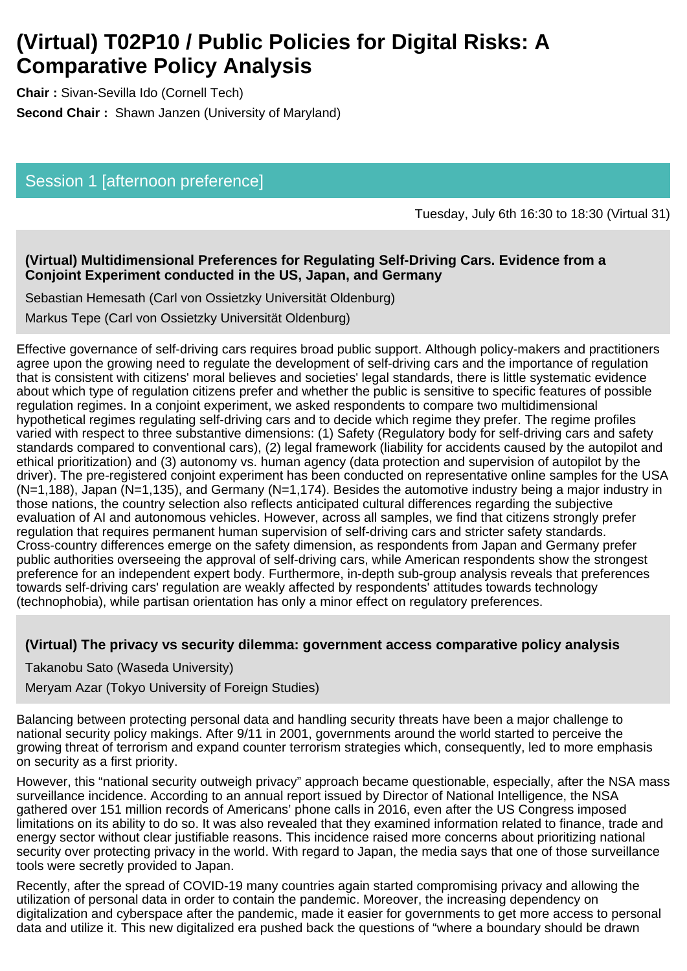# **(Virtual) T02P10 / Public Policies for Digital Risks: A Comparative Policy Analysis**

**Chair :** Sivan-Sevilla Ido (Cornell Tech) **Second Chair :** Shawn Janzen (University of Maryland)

### Session 1 [afternoon preference]

Tuesday, July 6th 16:30 to 18:30 (Virtual 31)

#### **(Virtual) Multidimensional Preferences for Regulating Self-Driving Cars. Evidence from a Conjoint Experiment conducted in the US, Japan, and Germany**

Sebastian Hemesath (Carl von Ossietzky Universität Oldenburg)

Markus Tepe (Carl von Ossietzky Universität Oldenburg)

Effective governance of self-driving cars requires broad public support. Although policy-makers and practitioners agree upon the growing need to regulate the development of self-driving cars and the importance of regulation that is consistent with citizens' moral believes and societies' legal standards, there is little systematic evidence about which type of regulation citizens prefer and whether the public is sensitive to specific features of possible regulation regimes. In a conjoint experiment, we asked respondents to compare two multidimensional hypothetical regimes regulating self-driving cars and to decide which regime they prefer. The regime profiles varied with respect to three substantive dimensions: (1) Safety (Regulatory body for self-driving cars and safety standards compared to conventional cars), (2) legal framework (liability for accidents caused by the autopilot and ethical prioritization) and (3) autonomy vs. human agency (data protection and supervision of autopilot by the driver). The pre-registered conjoint experiment has been conducted on representative online samples for the USA (N=1,188), Japan (N=1,135), and Germany (N=1,174). Besides the automotive industry being a major industry in those nations, the country selection also reflects anticipated cultural differences regarding the subjective evaluation of AI and autonomous vehicles. However, across all samples, we find that citizens strongly prefer regulation that requires permanent human supervision of self-driving cars and stricter safety standards. Cross-country differences emerge on the safety dimension, as respondents from Japan and Germany prefer public authorities overseeing the approval of self-driving cars, while American respondents show the strongest preference for an independent expert body. Furthermore, in-depth sub-group analysis reveals that preferences towards self-driving cars' regulation are weakly affected by respondents' attitudes towards technology (technophobia), while partisan orientation has only a minor effect on regulatory preferences.

#### **(Virtual) The privacy vs security dilemma: government access comparative policy analysis**

Takanobu Sato (Waseda University)

Meryam Azar (Tokyo University of Foreign Studies)

Balancing between protecting personal data and handling security threats have been a major challenge to national security policy makings. After 9/11 in 2001, governments around the world started to perceive the growing threat of terrorism and expand counter terrorism strategies which, consequently, led to more emphasis on security as a first priority.

However, this "national security outweigh privacy" approach became questionable, especially, after the NSA mass surveillance incidence. According to an annual report issued by Director of National Intelligence, the NSA gathered over 151 million records of Americans' phone calls in 2016, even after the US Congress imposed limitations on its ability to do so. It was also revealed that they examined information related to finance, trade and energy sector without clear justifiable reasons. This incidence raised more concerns about prioritizing national security over protecting privacy in the world. With regard to Japan, the media says that one of those surveillance tools were secretly provided to Japan.

Recently, after the spread of COVID-19 many countries again started compromising privacy and allowing the utilization of personal data in order to contain the pandemic. Moreover, the increasing dependency on digitalization and cyberspace after the pandemic, made it easier for governments to get more access to personal data and utilize it. This new digitalized era pushed back the questions of "where a boundary should be drawn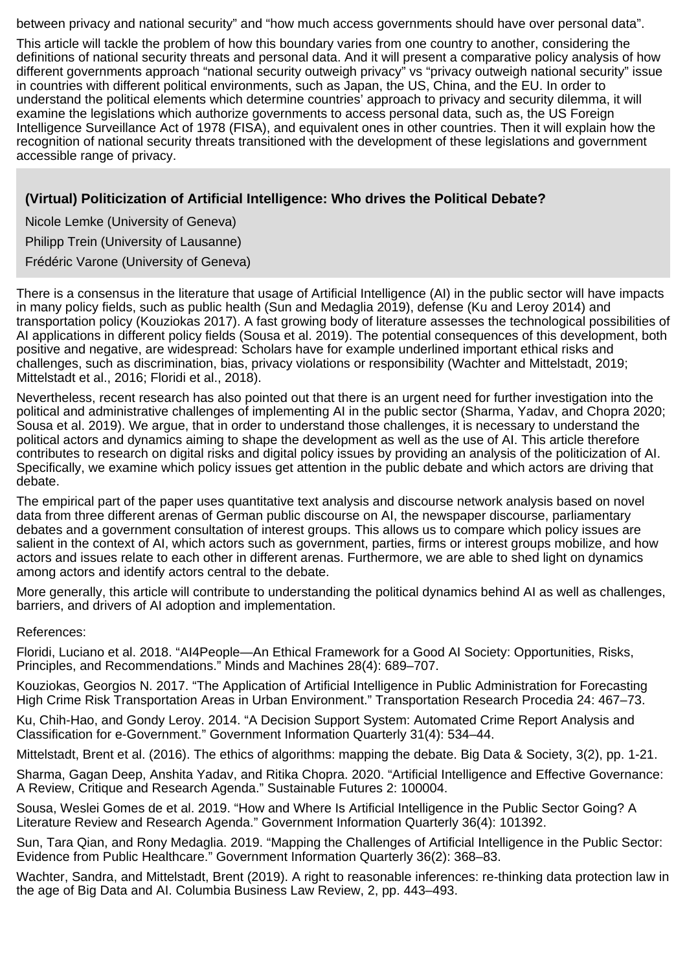between privacy and national security" and "how much access governments should have over personal data".

This article will tackle the problem of how this boundary varies from one country to another, considering the definitions of national security threats and personal data. And it will present a comparative policy analysis of how different governments approach "national security outweigh privacy" vs "privacy outweigh national security" issue in countries with different political environments, such as Japan, the US, China, and the EU. In order to understand the political elements which determine countries' approach to privacy and security dilemma, it will examine the legislations which authorize governments to access personal data, such as, the US Foreign Intelligence Surveillance Act of 1978 (FISA), and equivalent ones in other countries. Then it will explain how the recognition of national security threats transitioned with the development of these legislations and government accessible range of privacy.

#### **(Virtual) Politicization of Artificial Intelligence: Who drives the Political Debate?**

Nicole Lemke (University of Geneva)

Philipp Trein (University of Lausanne)

Frédéric Varone (University of Geneva)

There is a consensus in the literature that usage of Artificial Intelligence (AI) in the public sector will have impacts in many policy fields, such as public health (Sun and Medaglia 2019), defense (Ku and Leroy 2014) and transportation policy (Kouziokas 2017). A fast growing body of literature assesses the technological possibilities of AI applications in different policy fields (Sousa et al. 2019). The potential consequences of this development, both positive and negative, are widespread: Scholars have for example underlined important ethical risks and challenges, such as discrimination, bias, privacy violations or responsibility (Wachter and Mittelstadt, 2019; Mittelstadt et al., 2016; Floridi et al., 2018).

Nevertheless, recent research has also pointed out that there is an urgent need for further investigation into the political and administrative challenges of implementing AI in the public sector (Sharma, Yadav, and Chopra 2020; Sousa et al. 2019). We argue, that in order to understand those challenges, it is necessary to understand the political actors and dynamics aiming to shape the development as well as the use of AI. This article therefore contributes to research on digital risks and digital policy issues by providing an analysis of the politicization of AI. Specifically, we examine which policy issues get attention in the public debate and which actors are driving that debate.

The empirical part of the paper uses quantitative text analysis and discourse network analysis based on novel data from three different arenas of German public discourse on AI, the newspaper discourse, parliamentary debates and a government consultation of interest groups. This allows us to compare which policy issues are salient in the context of AI, which actors such as government, parties, firms or interest groups mobilize, and how actors and issues relate to each other in different arenas. Furthermore, we are able to shed light on dynamics among actors and identify actors central to the debate.

More generally, this article will contribute to understanding the political dynamics behind AI as well as challenges, barriers, and drivers of AI adoption and implementation.

References:

Floridi, Luciano et al. 2018. "AI4People—An Ethical Framework for a Good AI Society: Opportunities, Risks, Principles, and Recommendations." Minds and Machines 28(4): 689–707.

Kouziokas, Georgios N. 2017. "The Application of Artificial Intelligence in Public Administration for Forecasting High Crime Risk Transportation Areas in Urban Environment." Transportation Research Procedia 24: 467–73.

Ku, Chih-Hao, and Gondy Leroy. 2014. "A Decision Support System: Automated Crime Report Analysis and Classification for e-Government." Government Information Quarterly 31(4): 534–44.

Mittelstadt, Brent et al. (2016). The ethics of algorithms: mapping the debate. Big Data & Society, 3(2), pp. 1-21.

Sharma, Gagan Deep, Anshita Yadav, and Ritika Chopra. 2020. "Artificial Intelligence and Effective Governance: A Review, Critique and Research Agenda." Sustainable Futures 2: 100004.

Sousa, Weslei Gomes de et al. 2019. "How and Where Is Artificial Intelligence in the Public Sector Going? A Literature Review and Research Agenda." Government Information Quarterly 36(4): 101392.

Sun, Tara Qian, and Rony Medaglia. 2019. "Mapping the Challenges of Artificial Intelligence in the Public Sector: Evidence from Public Healthcare." Government Information Quarterly 36(2): 368–83.

Wachter, Sandra, and Mittelstadt, Brent (2019). A right to reasonable inferences: re-thinking data protection law in the age of Big Data and AI. Columbia Business Law Review, 2, pp. 443–493.